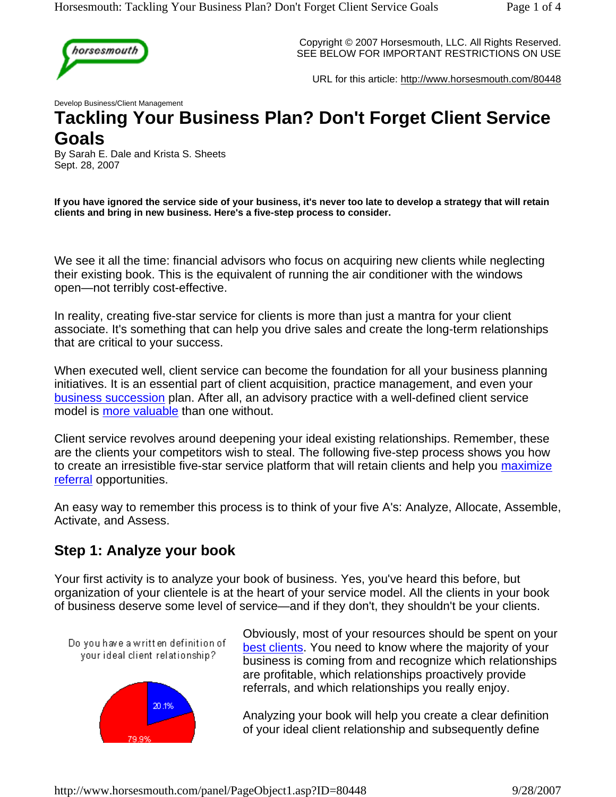

Copyright © 2007 Horsesmouth, LLC. All Rights Reserved. SEE BELOW FOR IMPORTANT RESTRICTIONS ON USE

URL for this article: http://www.horsesmouth.com/80448

Develop Business/Client Management

# **Tackling Your Business Plan? Don't Forget Client Service Goals**

By Sarah E. Dale and Krista S. Sheets Sept. 28, 2007

**If you have ignored the service side of your business, it's never too late to develop a strategy that will retain clients and bring in new business. Here's a five-step process to consider.** 

We see it all the time: financial advisors who focus on acquiring new clients while neglecting their existing book. This is the equivalent of running the air conditioner with the windows open—not terribly cost-effective.

In reality, creating five-star service for clients is more than just a mantra for your client associate. It's something that can help you drive sales and create the long-term relationships that are critical to your success.

When executed well, client service can become the foundation for all your business planning initiatives. It is an essential part of client acquisition, practice management, and even your business succession plan. After all, an advisory practice with a well-defined client service model is more valuable than one without.

Client service revolves around deepening your ideal existing relationships. Remember, these are the clients your competitors wish to steal. The following five-step process shows you how to create an irresistible five-star service platform that will retain clients and help you maximize referral opportunities.

An easy way to remember this process is to think of your five A's: Analyze, Allocate, Assemble, Activate, and Assess.

#### **Step 1: Analyze your book**

Your first activity is to analyze your book of business. Yes, you've heard this before, but organization of your clientele is at the heart of your service model. All the clients in your book of business deserve some level of service—and if they don't, they shouldn't be your clients.



Obviously, most of your resources should be spent on your best clients. You need to know where the majority of your business is coming from and recognize which relationships are profitable, which relationships proactively provide referrals, and which relationships you really enjoy.

Analyzing your book will help you create a clear definition of your ideal client relationship and subsequently define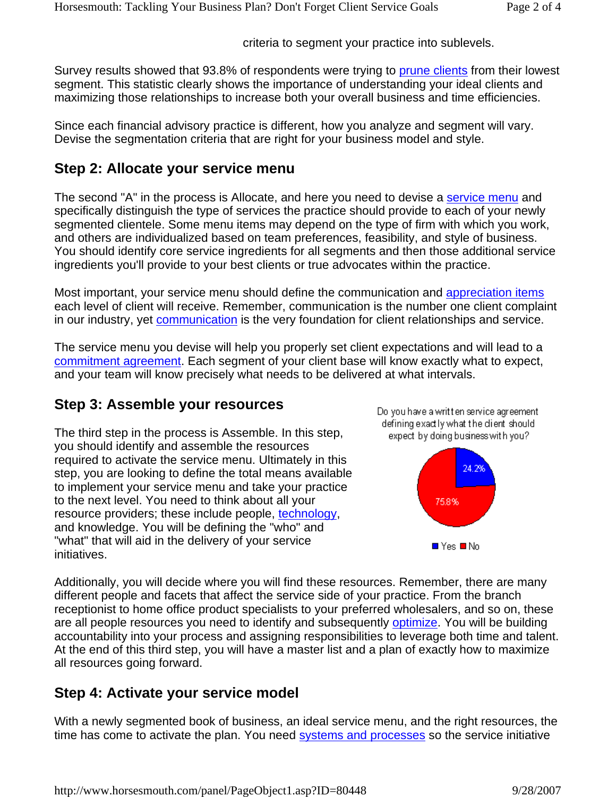criteria to segment your practice into sublevels.

Survey results showed that 93.8% of respondents were trying to prune clients from their lowest segment. This statistic clearly shows the importance of understanding your ideal clients and maximizing those relationships to increase both your overall business and time efficiencies.

Since each financial advisory practice is different, how you analyze and segment will vary. Devise the segmentation criteria that are right for your business model and style.

#### **Step 2: Allocate your service menu**

The second "A" in the process is Allocate, and here you need to devise a service menu and specifically distinguish the type of services the practice should provide to each of your newly segmented clientele. Some menu items may depend on the type of firm with which you work, and others are individualized based on team preferences, feasibility, and style of business. You should identify core service ingredients for all segments and then those additional service ingredients you'll provide to your best clients or true advocates within the practice.

Most important, your service menu should define the communication and appreciation items each level of client will receive. Remember, communication is the number one client complaint in our industry, yet communication is the very foundation for client relationships and service.

The service menu you devise will help you properly set client expectations and will lead to a commitment agreement. Each segment of your client base will know exactly what to expect, and your team will know precisely what needs to be delivered at what intervals.

## **Step 3: Assemble your resources**

The third step in the process is Assemble. In this step, you should identify and assemble the resources required to activate the service menu. Ultimately in this step, you are looking to define the total means available to implement your service menu and take your practice to the next level. You need to think about all your resource providers; these include people, technology, and knowledge. You will be defining the "who" and "what" that will aid in the delivery of your service initiatives.





Additionally, you will decide where you will find these resources. Remember, there are many different people and facets that affect the service side of your practice. From the branch receptionist to home office product specialists to your preferred wholesalers, and so on, these are all people resources you need to identify and subsequently optimize. You will be building accountability into your process and assigning responsibilities to leverage both time and talent. At the end of this third step, you will have a master list and a plan of exactly how to maximize all resources going forward.

## **Step 4: Activate your service model**

With a newly segmented book of business, an ideal service menu, and the right resources, the time has come to activate the plan. You need systems and processes so the service initiative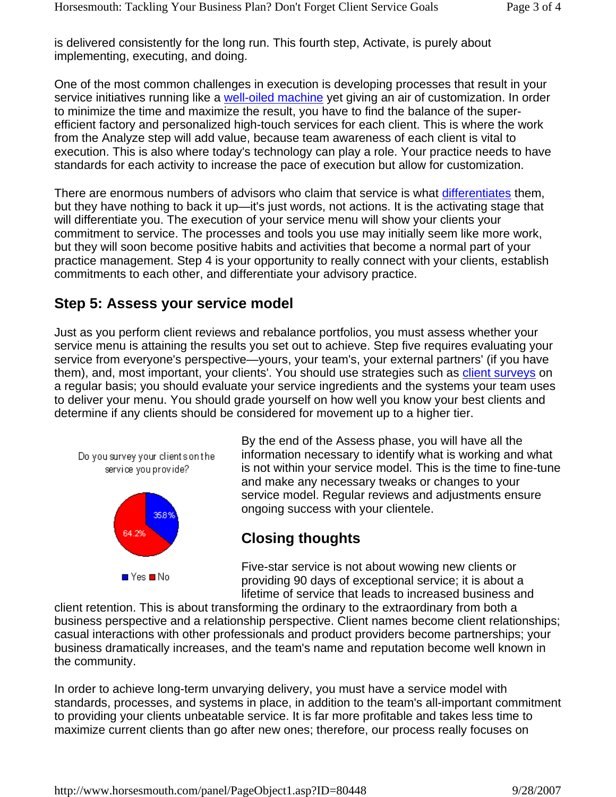is delivered consistently for the long run. This fourth step, Activate, is purely about implementing, executing, and doing.

One of the most common challenges in execution is developing processes that result in your service initiatives running like a well-oiled machine yet giving an air of customization. In order to minimize the time and maximize the result, you have to find the balance of the superefficient factory and personalized high-touch services for each client. This is where the work from the Analyze step will add value, because team awareness of each client is vital to execution. This is also where today's technology can play a role. Your practice needs to have standards for each activity to increase the pace of execution but allow for customization.

There are enormous numbers of advisors who claim that service is what differentiates them, but they have nothing to back it up—it's just words, not actions. It is the activating stage that will differentiate you. The execution of your service menu will show your clients your commitment to service. The processes and tools you use may initially seem like more work, but they will soon become positive habits and activities that become a normal part of your practice management. Step 4 is your opportunity to really connect with your clients, establish commitments to each other, and differentiate your advisory practice.

#### **Step 5: Assess your service model**

Just as you perform client reviews and rebalance portfolios, you must assess whether your service menu is attaining the results you set out to achieve. Step five requires evaluating your service from everyone's perspective—yours, your team's, your external partners' (if you have them), and, most important, your clients'. You should use strategies such as client surveys on a regular basis; you should evaluate your service ingredients and the systems your team uses to deliver your menu. You should grade yourself on how well you know your best clients and determine if any clients should be considered for movement up to a higher tier.



 $\blacksquare$  Yes  $\blacksquare$  No

By the end of the Assess phase, you will have all the information necessary to identify what is working and what is not within your service model. This is the time to fine-tune and make any necessary tweaks or changes to your service model. Regular reviews and adjustments ensure ongoing success with your clientele.

#### **Closing thoughts**

Five-star service is not about wowing new clients or providing 90 days of exceptional service; it is about a lifetime of service that leads to increased business and

client retention. This is about transforming the ordinary to the extraordinary from both a business perspective and a relationship perspective. Client names become client relationships; casual interactions with other professionals and product providers become partnerships; your business dramatically increases, and the team's name and reputation become well known in the community.

In order to achieve long-term unvarying delivery, you must have a service model with standards, processes, and systems in place, in addition to the team's all-important commitment to providing your clients unbeatable service. It is far more profitable and takes less time to maximize current clients than go after new ones; therefore, our process really focuses on